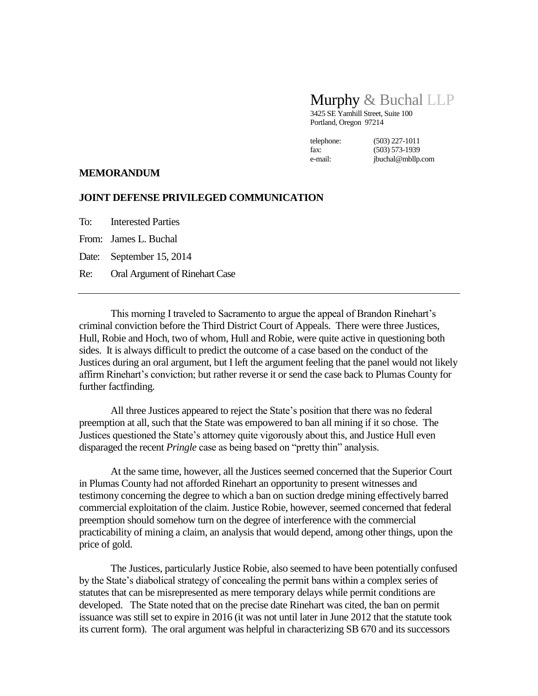## Murphy & Buchal LLP

3425 SE Yamhill Street, Suite 100 Portland, Oregon 97214

telephone: (503) 227-1011 fax: (503) 573-1939 e-mail: jbuchal@mbllp.com

## **MEMORANDUM**

## **JOINT DEFENSE PRIVILEGED COMMUNICATION**

To: Interested Parties From: James L. Buchal Date: September 15, 2014 Re: Oral Argument of Rinehart Case

This morning I traveled to Sacramento to argue the appeal of Brandon Rinehart's criminal conviction before the Third District Court of Appeals. There were three Justices, Hull, Robie and Hoch, two of whom, Hull and Robie, were quite active in questioning both sides. It is always difficult to predict the outcome of a case based on the conduct of the Justices during an oral argument, but I left the argument feeling that the panel would not likely affirm Rinehart's conviction; but rather reverse it or send the case back to Plumas County for further factfinding.

All three Justices appeared to reject the State's position that there was no federal preemption at all, such that the State was empowered to ban all mining if it so chose. The Justices questioned the State's attorney quite vigorously about this, and Justice Hull even disparaged the recent *Pringle* case as being based on "pretty thin" analysis.

At the same time, however, all the Justices seemed concerned that the Superior Court in Plumas County had not afforded Rinehart an opportunity to present witnesses and testimony concerning the degree to which a ban on suction dredge mining effectively barred commercial exploitation of the claim. Justice Robie, however, seemed concerned that federal preemption should somehow turn on the degree of interference with the commercial practicability of mining a claim, an analysis that would depend, among other things, upon the price of gold.

The Justices, particularly Justice Robie, also seemed to have been potentially confused by the State's diabolical strategy of concealing the permit bans within a complex series of statutes that can be misrepresented as mere temporary delays while permit conditions are developed. The State noted that on the precise date Rinehart was cited, the ban on permit issuance was still set to expire in 2016 (it was not until later in June 2012 that the statute took its current form). The oral argument was helpful in characterizing SB 670 and its successors